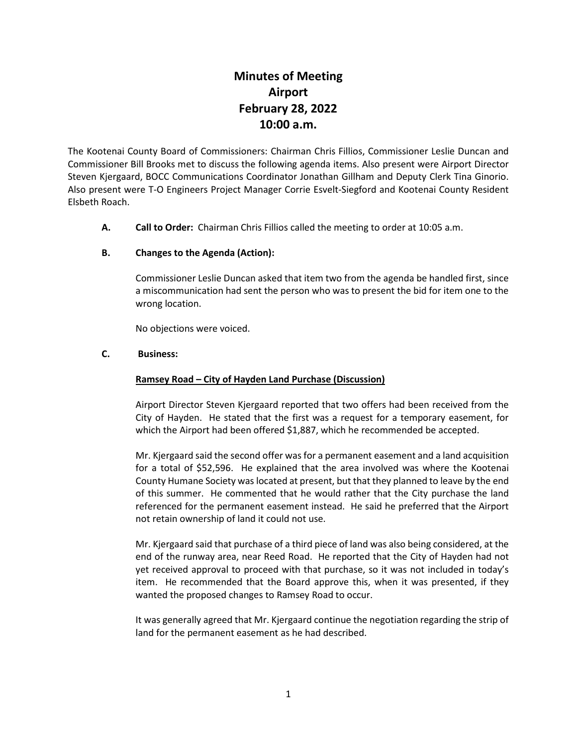# **Minutes of Meeting Airport February 28, 2022 10:00 a.m.**

The Kootenai County Board of Commissioners: Chairman Chris Fillios, Commissioner Leslie Duncan and Commissioner Bill Brooks met to discuss the following agenda items. Also present were Airport Director Steven Kjergaard, BOCC Communications Coordinator Jonathan Gillham and Deputy Clerk Tina Ginorio. Also present were T-O Engineers Project Manager Corrie Esvelt-Siegford and Kootenai County Resident Elsbeth Roach.

**A. Call to Order:** Chairman Chris Fillios called the meeting to order at 10:05 a.m.

## **B. Changes to the Agenda (Action):**

Commissioner Leslie Duncan asked that item two from the agenda be handled first, since a miscommunication had sent the person who was to present the bid for item one to the wrong location.

No objections were voiced.

#### **C. Business:**

#### **Ramsey Road – City of Hayden Land Purchase (Discussion)**

Airport Director Steven Kjergaard reported that two offers had been received from the City of Hayden. He stated that the first was a request for a temporary easement, for which the Airport had been offered \$1,887, which he recommended be accepted.

Mr. Kjergaard said the second offer was for a permanent easement and a land acquisition for a total of \$52,596. He explained that the area involved was where the Kootenai County Humane Society was located at present, but that they planned to leave by the end of this summer. He commented that he would rather that the City purchase the land referenced for the permanent easement instead. He said he preferred that the Airport not retain ownership of land it could not use.

Mr. Kjergaard said that purchase of a third piece of land was also being considered, at the end of the runway area, near Reed Road. He reported that the City of Hayden had not yet received approval to proceed with that purchase, so it was not included in today's item. He recommended that the Board approve this, when it was presented, if they wanted the proposed changes to Ramsey Road to occur.

It was generally agreed that Mr. Kjergaard continue the negotiation regarding the strip of land for the permanent easement as he had described.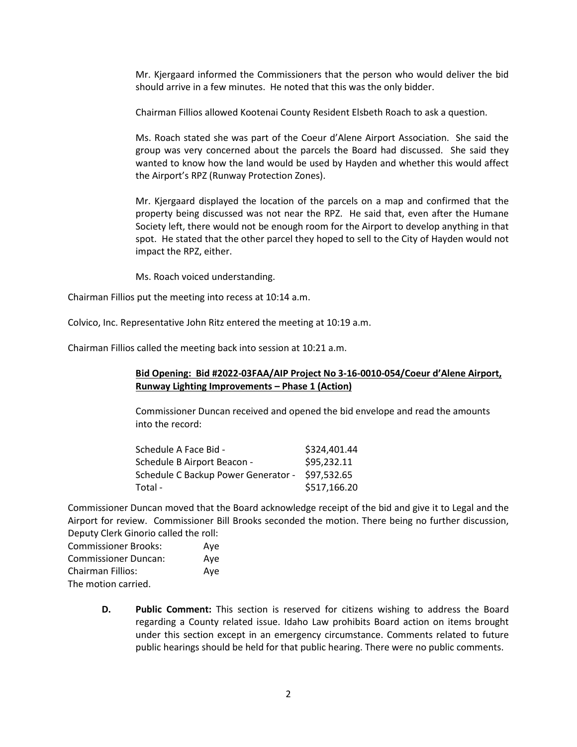Mr. Kjergaard informed the Commissioners that the person who would deliver the bid should arrive in a few minutes. He noted that this was the only bidder.

Chairman Fillios allowed Kootenai County Resident Elsbeth Roach to ask a question.

Ms. Roach stated she was part of the Coeur d'Alene Airport Association. She said the group was very concerned about the parcels the Board had discussed. She said they wanted to know how the land would be used by Hayden and whether this would affect the Airport's RPZ (Runway Protection Zones).

Mr. Kjergaard displayed the location of the parcels on a map and confirmed that the property being discussed was not near the RPZ. He said that, even after the Humane Society left, there would not be enough room for the Airport to develop anything in that spot. He stated that the other parcel they hoped to sell to the City of Hayden would not impact the RPZ, either.

Ms. Roach voiced understanding.

Chairman Fillios put the meeting into recess at 10:14 a.m.

Colvico, Inc. Representative John Ritz entered the meeting at 10:19 a.m.

Chairman Fillios called the meeting back into session at 10:21 a.m.

## **Bid Opening: Bid #2022-03FAA/AIP Project No 3-16-0010-054/Coeur d'Alene Airport, Runway Lighting Improvements – Phase 1 (Action)**

Commissioner Duncan received and opened the bid envelope and read the amounts into the record:

| Schedule A Face Bid -               | \$324,401.44 |
|-------------------------------------|--------------|
| Schedule B Airport Beacon -         | \$95,232.11  |
| Schedule C Backup Power Generator - | \$97,532.65  |
| Total -                             | \$517,166.20 |

Commissioner Duncan moved that the Board acknowledge receipt of the bid and give it to Legal and the Airport for review. Commissioner Bill Brooks seconded the motion. There being no further discussion, Deputy Clerk Ginorio called the roll:

| <b>Commissioner Brooks:</b> | Ave |
|-----------------------------|-----|
| <b>Commissioner Duncan:</b> | Ave |
| Chairman Fillios:           | Ave |
| The motion carried.         |     |

**D. Public Comment:** This section is reserved for citizens wishing to address the Board regarding a County related issue. Idaho Law prohibits Board action on items brought under this section except in an emergency circumstance. Comments related to future public hearings should be held for that public hearing. There were no public comments.